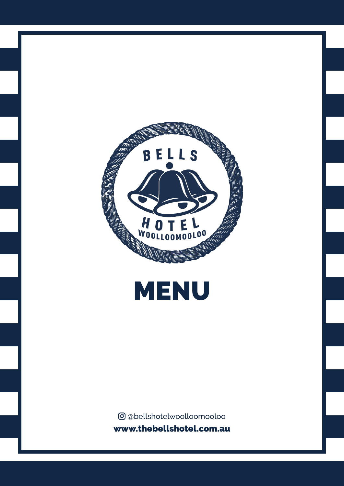



**@**@bellshotelwoolloomooloo www.thebellshotel.com.au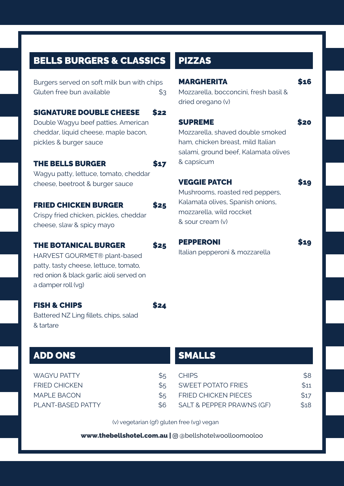# BELLS BURGERS & CLASSICS

Burgers served on soft milk bun with chips Gluten free bun available  $$3$ 

## SIGNATURE DOUBLE CHEESE \$22

Double Wagyu beef patties. American cheddar, liquid cheese, maple bacon, pickles & burger sauce

#### THE BELLS BURGER \$17

Wagyu patty, lettuce, tomato, cheddar cheese, beetroot & burger sauce

## FRIED CHICKEN BURGER \$25

Crispy fried chicken, pickles, cheddar cheese, slaw & spicy mayo

### THE BOTANICAL BURGER \$25

HARVEST GOURMET® plant-based patty, tasty cheese, lettuce, tomato, red onion & black garlic aioli served on a damper roll (vg)

#### FISH & CHIPS \$24

Battered NZ Ling fillets, chips, salad & tartare

# ADD ONS

WAGYU PATTY \$5 FRIED CHICKEN \$5 MAPLE BACON \$5 PLANT-BASED PATTY \$6

# PIZZAS

## MARGHERITA \$16 Mozzarella, bocconcini, fresh basil & dried oregano (v) SUPREME \$20 Mozzarella, shaved double smoked ham, chicken breast, mild Italian salami, ground beef, Kalamata olives & capsicum VEGGIE PATCH \$19 Mushrooms, roasted red peppers, Kalamata olives, Spanish onions, mozzarella, wild roccket & sour cream (v)

PEPPERONI \$19

Italian pepperoni & mozzarella

## SMALLS

| CHIPS                       | S <sub>8</sub> |
|-----------------------------|----------------|
| SWEET POTATO ERIES          | \$11           |
| <b>FRIED CHICKEN PIFCFS</b> | \$17           |
| SALT & PEPPER PRAWNS (GF)   | \$18           |

(v) vegetarian (gf) gluten free (vg) vegan

www.thebellshotel.com.au | @ @bellshotelwoolloomooloo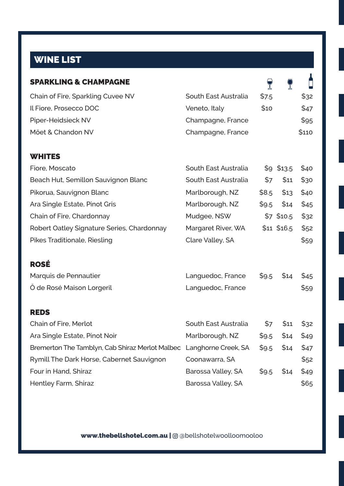# WINE LIST

| <b>SPARKLING &amp; CHAMPAGNE</b>                |                      |       |              |       |
|-------------------------------------------------|----------------------|-------|--------------|-------|
| Chain of Fire, Sparkling Cuvee NV               | South East Australia | \$7.5 |              | \$32  |
| Il Fiore, Prosecco DOC                          | Veneto, Italy        | \$10  |              | \$47  |
| Piper-Heidsieck NV                              | Champagne, France    |       |              | \$95  |
| Möet & Chandon NV                               | Champagne, France    |       |              | \$110 |
| <b>WHITES</b>                                   |                      |       |              |       |
| Fiore, Moscato                                  | South East Australia |       | $$9$ \$13.5  | \$40  |
| Beach Hut, Semillon Sauvignon Blanc             | South East Australia | \$7   | \$11         | \$30  |
| Pikorua, Sauvignon Blanc                        | Marlborough, NZ      | \$8.5 | \$13         | \$40  |
| Ara Single Estate, Pinot Gris                   | Marlborough, NZ      | \$9.5 | \$14         | \$45  |
| Chain of Fire, Chardonnay                       | Mudgee, NSW          |       | $$7$ \$10.5  | \$32  |
| Robert Oatley Signature Series, Chardonnay      | Margaret River, WA   |       | $$11$ \$16.5 | \$52  |
| Pikes Traditionale, Riesling                    | Clare Valley, SA     |       |              | \$59  |
| <b>ROSĖ</b>                                     |                      |       |              |       |
| Marquis de Pennautier                           | Languedoc, France    | \$9.5 | \$14         | \$45  |
| O de Rosé Maison Lorgeril                       | Languedoc, France    |       |              | \$59  |
| <b>REDS</b>                                     |                      |       |              |       |
| Chain of Fire, Merlot                           | South East Australia | \$7   | \$11         | \$32  |
| Ara Single Estate, Pinot Noir                   | Marlborough, NZ      | \$9.5 | \$14         | \$49  |
| Bremerton The Tamblyn, Cab Shiraz Merlot Malbec | Langhorne Creek, SA  | \$9.5 | \$14         | \$47  |
| Rymill The Dark Horse, Cabernet Sauvignon       | Coonawarra, SA       |       |              | \$52  |
| Four in Hand, Shiraz                            | Barossa Valley, SA   | \$9.5 | \$14         | \$49  |
| Hentley Farm, Shiraz                            | Barossa Valley, SA   |       |              | \$65  |

www.thebellshotel.com.au | @ @bellshotelwoolloomooloo